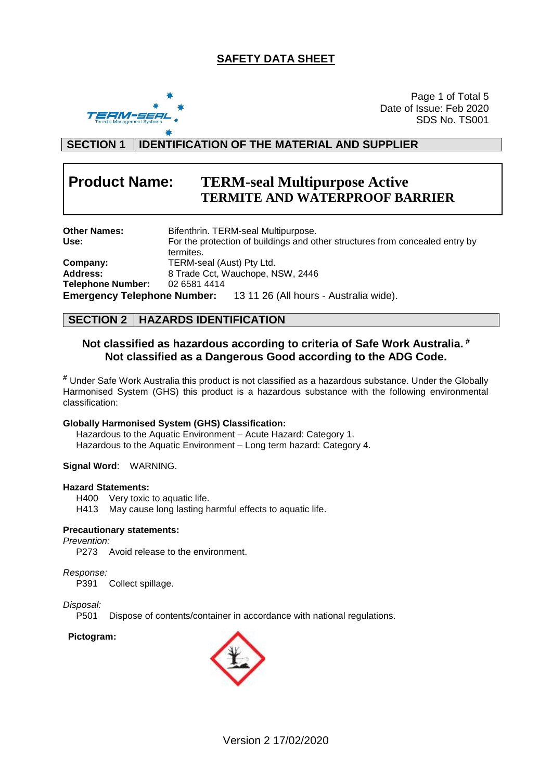# **SAFETY DATA SHEET**



Page 1 of Total 5 Date of Issue: Feb 2020 SDS No. TS001

# **SECTION 1 IDENTIFICATION OF THE MATERIAL AND SUPPLIER**

# **Product Name: TERM-seal Multipurpose Active TERMITE AND WATERPROOF BARRIER**

| <b>Other Names:</b>      | Bifenthrin. TERM-seal Multipurpose.                                                       |
|--------------------------|-------------------------------------------------------------------------------------------|
| Use:                     | For the protection of buildings and other structures from concealed entry by<br>termites. |
| Company:                 | TERM-seal (Aust) Pty Ltd.                                                                 |
| <b>Address:</b>          | 8 Trade Cct, Wauchope, NSW, 2446                                                          |
| <b>Telephone Number:</b> | 02 6581 4414                                                                              |
|                          | <b>Emergency Telephone Number:</b> 13 11 26 (All hours - Australia wide).                 |

# **SECTION 2 HAZARDS IDENTIFICATION**

# **Not classified as hazardous according to criteria of Safe Work Australia. # Not classified as a Dangerous Good according to the ADG Code.**

**#** Under Safe Work Australia this product is not classified as a hazardous substance. Under the Globally Harmonised System (GHS) this product is a hazardous substance with the following environmental classification:

#### **Globally Harmonised System (GHS) Classification:**

Hazardous to the Aquatic Environment – Acute Hazard: Category 1. Hazardous to the Aquatic Environment – Long term hazard: Category 4.

#### **Signal Word**: WARNING.

#### **Hazard Statements:**

H400 Very toxic to aquatic life.

H413 May cause long lasting harmful effects to aquatic life.

#### **Precautionary statements:**

*Prevention:*

P273 Avoid release to the environment.

#### *Response:*

P391 Collect spillage.

# *Disposal:*

Dispose of contents/container in accordance with national regulations.

#### **Pictogram:**

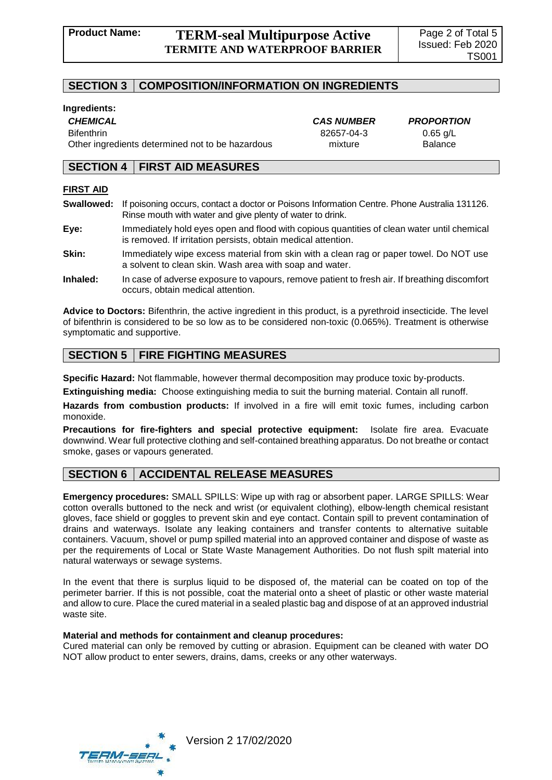## **SECTION 3 COMPOSITION/INFORMATION ON INGREDIENTS**

#### **Ingredients:**

*CHEMICAL CAS NUMBER PROPORTION*

Bifenthrin 82657-04-3 0.65 g/L Other ingredients determined not to be hazardous mixture mixture Balance

#### **SECTION 4 FIRST AID MEASURES**

#### **FIRST AID**

**Swallowed:** If poisoning occurs, contact a doctor or Poisons Information Centre. Phone Australia 131126. Rinse mouth with water and give plenty of water to drink.

**Eye:** Immediately hold eyes open and flood with copious quantities of clean water until chemical is removed. If irritation persists, obtain medical attention.

- **Skin:** Immediately wipe excess material from skin with a clean rag or paper towel. Do NOT use a solvent to clean skin. Wash area with soap and water.
- **Inhaled:** In case of adverse exposure to vapours, remove patient to fresh air. If breathing discomfort occurs, obtain medical attention.

**Advice to Doctors:** Bifenthrin, the active ingredient in this product, is a pyrethroid insecticide. The level of bifenthrin is considered to be so low as to be considered non-toxic (0.065%). Treatment is otherwise symptomatic and supportive.

# **SECTION 5 FIRE FIGHTING MEASURES**

**Specific Hazard:** Not flammable, however thermal decomposition may produce toxic by-products.

**Extinguishing media:** Choose extinguishing media to suit the burning material. Contain all runoff.

**Hazards from combustion products:** If involved in a fire will emit toxic fumes, including carbon monoxide.

**Precautions for fire-fighters and special protective equipment:** Isolate fire area. Evacuate downwind. Wear full protective clothing and self-contained breathing apparatus. Do not breathe or contact smoke, gases or vapours generated.

# **SECTION 6 ACCIDENTAL RELEASE MEASURES**

**Emergency procedures:** SMALL SPILLS: Wipe up with rag or absorbent paper. LARGE SPILLS: Wear cotton overalls buttoned to the neck and wrist (or equivalent clothing), elbow-length chemical resistant gloves, face shield or goggles to prevent skin and eye contact. Contain spill to prevent contamination of drains and waterways. Isolate any leaking containers and transfer contents to alternative suitable containers. Vacuum, shovel or pump spilled material into an approved container and dispose of waste as per the requirements of Local or State Waste Management Authorities. Do not flush spilt material into natural waterways or sewage systems.

In the event that there is surplus liquid to be disposed of, the material can be coated on top of the perimeter barrier. If this is not possible, coat the material onto a sheet of plastic or other waste material and allow to cure. Place the cured material in a sealed plastic bag and dispose of at an approved industrial waste site.

#### **Material and methods for containment and cleanup procedures:**

Cured material can only be removed by cutting or abrasion. Equipment can be cleaned with water DO NOT allow product to enter sewers, drains, dams, creeks or any other waterways.

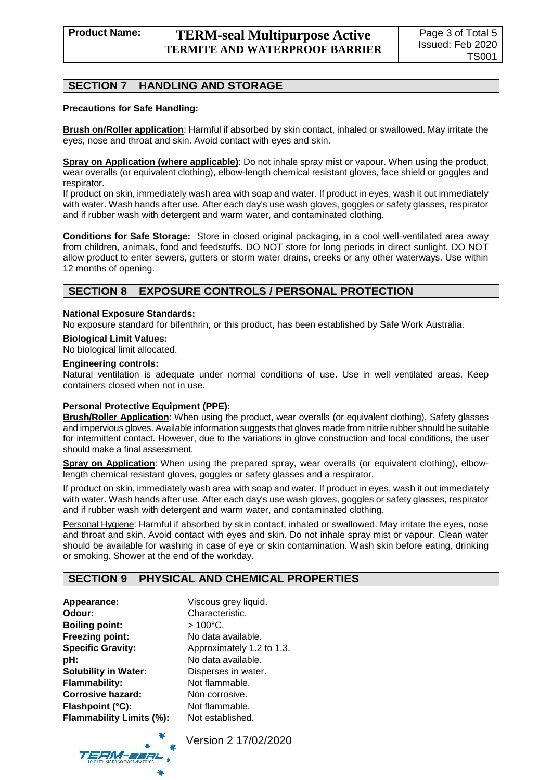# **SECTION 7 HANDLING AND STORAGE**

#### **Precautions for Safe Handling:**

**Brush on/Roller application**: Harmful if absorbed by skin contact, inhaled or swallowed. May irritate the eyes, nose and throat and skin. Avoid contact with eyes and skin.

**Spray on Application (where applicable)**: Do not inhale spray mist or vapour. When using the product, wear overalls (or equivalent clothing), elbow-length chemical resistant gloves, face shield or goggles and respirator.

If product on skin, immediately wash area with soap and water. If product in eyes, wash it out immediately with water. Wash hands after use. After each day's use wash gloves, goggles or safety glasses, respirator and if rubber wash with detergent and warm water, and contaminated clothing.

**Conditions for Safe Storage:** Store in closed original packaging, in a cool well-ventilated area away from children, animals, food and feedstuffs. DO NOT store for long periods in direct sunlight. DO NOT allow product to enter sewers, gutters or storm water drains, creeks or any other waterways. Use within 12 months of opening.

# **SECTION 8 EXPOSURE CONTROLS / PERSONAL PROTECTION**

#### **National Exposure Standards:**

No exposure standard for bifenthrin, or this product, has been established by Safe Work Australia.

#### **Biological Limit Values:**

No biological limit allocated.

#### **Engineering controls:**

Natural ventilation is adequate under normal conditions of use. Use in well ventilated areas. Keep containers closed when not in use.

#### **Personal Protective Equipment (PPE):**

**Brush/Roller Application**: When using the product, wear overalls (or equivalent clothing), Safety glasses and impervious gloves. Available information suggests that gloves made from nitrile rubber should be suitable for intermittent contact. However, due to the variations in glove construction and local conditions, the user should make a final assessment.

**Spray on Application**: When using the prepared spray, wear overalls (or equivalent clothing), elbowlength chemical resistant gloves, goggles or safety glasses and a respirator.

If product on skin, immediately wash area with soap and water. If product in eyes, wash it out immediately with water. Wash hands after use. After each day's use wash gloves, goggles or safety glasses, respirator and if rubber wash with detergent and warm water, and contaminated clothing.

Personal Hygiene: Harmful if absorbed by skin contact, inhaled or swallowed. May irritate the eyes, nose and throat and skin. Avoid contact with eyes and skin. Do not inhale spray mist or vapour. Clean water should be available for washing in case of eye or skin contamination. Wash skin before eating, drinking or smoking. Shower at the end of the workday.

#### **SECTION 9 PHYSICAL AND CHEMICAL PROPERTIES**

**Appearance:** Viscous grey liquid. **Odour:** Characteristic. **Boiling point:** > 100°C. **Freezing point:** No data available. **Specific Gravity:** Approximately 1.2 to 1.3. **pH:** No data available. **Solubility in Water:** Disperses in water. **Flammability:** Not flammable. **Corrosive hazard:** Non corrosive. **Flashpoint (°C):** Not flammable. **Flammability Limits (%):** Not established.

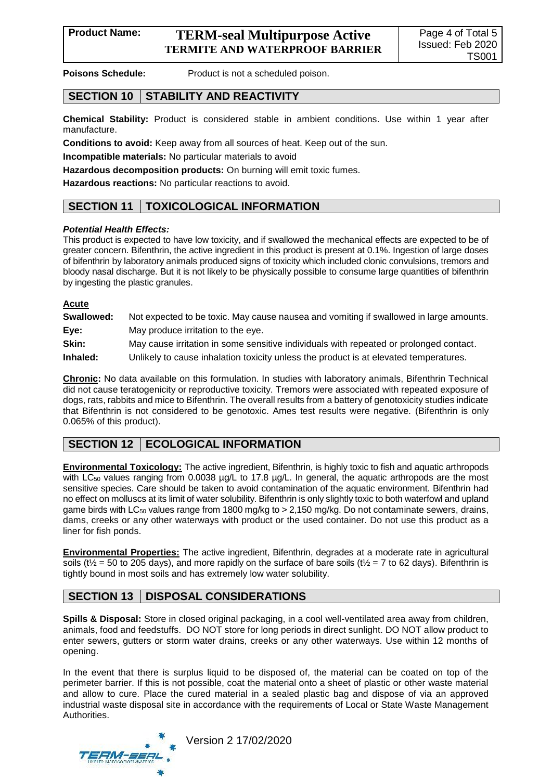# **Product Name: TERM-seal Multipurpose Active TERMITE AND WATERPROOF BARRIER**

**Poisons Schedule:** Product is not a scheduled poison.

# **SECTION 10 STABILITY AND REACTIVITY**

**Chemical Stability:** Product is considered stable in ambient conditions. Use within 1 year after manufacture.

**Conditions to avoid:** Keep away from all sources of heat. Keep out of the sun.

**Incompatible materials:** No particular materials to avoid

**Hazardous decomposition products:** On burning will emit toxic fumes.

**Hazardous reactions:** No particular reactions to avoid.

# **SECTION 11 TOXICOLOGICAL INFORMATION**

#### *Potential Health Effects:*

This product is expected to have low toxicity, and if swallowed the mechanical effects are expected to be of greater concern. Bifenthrin, the active ingredient in this product is present at 0.1%. Ingestion of large doses of bifenthrin by laboratory animals produced signs of toxicity which included clonic convulsions, tremors and bloody nasal discharge. But it is not likely to be physically possible to consume large quantities of bifenthrin by ingesting the plastic granules.

#### **Acute**

| Swallowed: | Not expected to be toxic. May cause nausea and vomiting if swallowed in large amounts. |
|------------|----------------------------------------------------------------------------------------|
| Eye:       | May produce irritation to the eye.                                                     |
| Skin:      | May cause irritation in some sensitive individuals with repeated or prolonged contact. |
| Inhaled:   | Unlikely to cause inhalation toxicity unless the product is at elevated temperatures.  |

**Chronic:** No data available on this formulation. In studies with laboratory animals, Bifenthrin Technical did not cause teratogenicity or reproductive toxicity. Tremors were associated with repeated exposure of dogs, rats, rabbits and mice to Bifenthrin. The overall results from a battery of genotoxicity studies indicate that Bifenthrin is not considered to be genotoxic. Ames test results were negative. (Bifenthrin is only 0.065% of this product).

# **SECTION 12 | ECOLOGICAL INFORMATION**

**Environmental Toxicology:** The active ingredient, Bifenthrin, is highly toxic to fish and aquatic arthropods with LC<sub>50</sub> values ranging from 0.0038  $\mu$ g/L to 17.8  $\mu$ g/L. In general, the aquatic arthropods are the most sensitive species. Care should be taken to avoid contamination of the aquatic environment. Bifenthrin had no effect on molluscs at its limit of water solubility. Bifenthrin is only slightly toxic to both waterfowl and upland game birds with LC<sub>50</sub> values range from 1800 mg/kg to > 2,150 mg/kg. Do not contaminate sewers, drains, dams, creeks or any other waterways with product or the used container. Do not use this product as a liner for fish ponds.

**Environmental Properties:** The active ingredient, Bifenthrin, degrades at a moderate rate in agricultural soils (t<sup> $\frac{1}{2}$ </sup> = 50 to 205 days), and more rapidly on the surface of bare soils (t<sup> $\frac{1}{2}$ </sup> = 7 to 62 days). Bifenthrin is tightly bound in most soils and has extremely low water solubility.

# **SECTION 13 DISPOSAL CONSIDERATIONS**

**Spills & Disposal:** Store in closed original packaging, in a cool well-ventilated area away from children, animals, food and feedstuffs. DO NOT store for long periods in direct sunlight. DO NOT allow product to enter sewers, gutters or storm water drains, creeks or any other waterways. Use within 12 months of opening.

In the event that there is surplus liquid to be disposed of, the material can be coated on top of the perimeter barrier. If this is not possible, coat the material onto a sheet of plastic or other waste material and allow to cure. Place the cured material in a sealed plastic bag and dispose of via an approved industrial waste disposal site in accordance with the requirements of Local or State Waste Management Authorities.